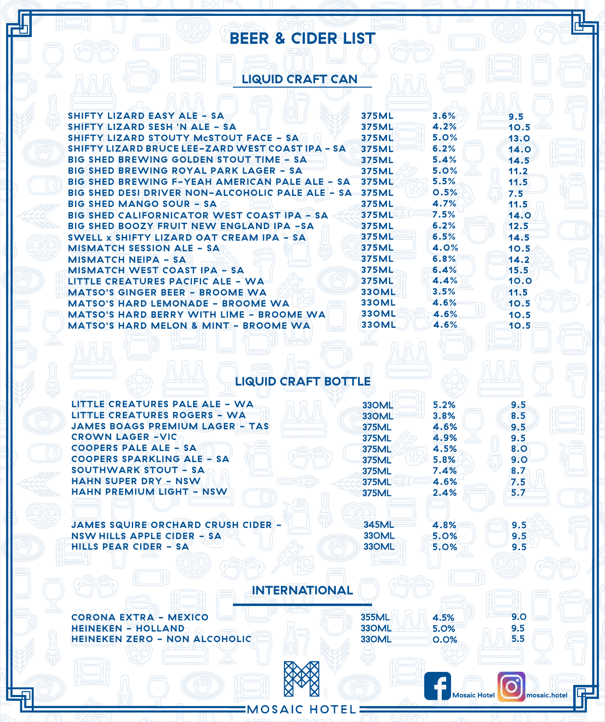## **BEER & CIDER LIST**

## **LIQUID CRAFT CAN**

| SHIFTY LIZARD EASY ALE - SA                             | 375ML        | 3.6% | 9.5  |
|---------------------------------------------------------|--------------|------|------|
| SHIFTY LIZARD SESH 'N ALE - SA                          | <b>375ML</b> | 4.2% | 10.5 |
| <b>SHIFTY LIZARD STOUTY McSTOUT FACE - SA</b>           | 375ML        | 5.0% | 13.0 |
| <b>SHIFTY LIZARD BRUCE LEE-ZARD WEST COAST IPA - SA</b> | <b>375ML</b> | 6.2% | 14.0 |
| <b>BIG SHED BREWING GOLDEN STOUT TIME - SA</b>          | 375ML        | 5.4% | 14.5 |
| <b>BIG SHED BREWING ROYAL PARK LAGER - SA</b>           | <b>375ML</b> | 5.0% | 11.2 |
| BIG SHED BREWING F-YEAH AMERICAN PALE ALE - SA          | 375ML        | 5.5% | 11.5 |
| BIG SHED DESI DRIVER NON-ALCOHOLIC PALE ALE - SA        | <b>375ML</b> | 0.5% | 7.5  |
| <b>BIG SHED MANGO SOUR – SA</b>                         | <b>375ML</b> | 4.7% | 11.5 |
| <b>BIG SHED CALIFORNICATOR WEST COAST IPA - SA</b>      | 375ML        | 7.5% | 14.0 |
| <b>BIG SHED BOOZY FRUIT NEW ENGLAND IPA -SA</b>         | 375ML        | 6.2% | 12.5 |
| SWELL $\times$ SHIFTY LIZARD OAT CREAM IPA – SA         | 375ML        | 6.5% | 14.5 |
| <b>MISMATCH SESSION ALE - SA</b>                        | 375ML        | 4.0% | 10.5 |
| <b>MISMATCH NEIPA - SA</b>                              | 375ML        | 6.8% | 14.2 |
| <b>MISMATCH WEST COAST IPA - SA</b>                     | 375ML        | 6.4% | 15.5 |
| LITTLE CREATURES PACIFIC ALE - WA                       | <b>375ML</b> | 4.4% | 10.0 |
| <b>MATSO'S GINGER BEER - BROOME WA</b>                  | <b>330ML</b> | 3.5% | 11.5 |
| <b>MATSO'S HARD LEMONADE - BROOME WA</b>                | <b>330ML</b> | 4.6% | 10.5 |
| <b>MATSO'S HARD BERRY WITH LIME - BROOME WA</b>         | <b>330ML</b> | 4.6% | 10.5 |
| <b>MATSO'S HARD MELON &amp; MINT - BROOME WA</b>        | <b>330ML</b> | 4.6% | 10.5 |
|                                                         |              |      |      |

## **LIQUID CRAFT BOTTLE**

| LITTLE CREATURES PALE ALE - WA            | 330ML        | 5.2%                | 9.5          |  |
|-------------------------------------------|--------------|---------------------|--------------|--|
| <b>LITTLE CREATURES ROGERS - WA</b>       | 330ML        | 3.8%                | 8.5          |  |
| <b>JAMES BOAGS PREMIUM LAGER - TAS</b>    | <b>375ML</b> | 4.6%                | 9.5          |  |
| <b>CROWN LAGER-VIC</b>                    | <b>375ML</b> | 4.9%                | 9.5          |  |
| <b>COOPERS PALE ALE - SA</b>              | <b>375ML</b> | 4.5%                | 8.O          |  |
| <b>COOPERS SPARKLING ALE - SA</b>         | <b>375ML</b> | 5.8%                | 9.0          |  |
| SOUTHWARK STOUT - SA                      | <b>375ML</b> | 7.4%                | 8.7          |  |
| <b>HAHN SUPER DRY - NSW</b>               | <b>375ML</b> | 4.6%                | 7.5          |  |
| <b>HAHN PREMIUM LIGHT - NSW</b>           | <b>375ML</b> | 2.4%                | 5.7          |  |
|                                           |              |                     |              |  |
|                                           |              |                     |              |  |
| <b>JAMES SQUIRE ORCHARD CRUSH CIDER -</b> | 345ML        | 4.8%                | 9.5          |  |
| NSW HILLS APPLE CIDER - SA                | 330ML        | 5.0%                | 9.5          |  |
| <b>HILLS PEAR CIDER - SA</b>              | 330ML        | 5.0%                | 9.5          |  |
|                                           |              |                     |              |  |
|                                           |              |                     |              |  |
|                                           |              |                     |              |  |
| <b>INTERNATIONAL</b>                      |              |                     |              |  |
| <b>CORONA EXTRA - MEXICO</b>              | <b>355ML</b> |                     | 9.0          |  |
| <b>HEINEKEN - HOLLAND</b>                 | 330ML        | 4.5%                |              |  |
| <b>HEINEKEN ZERO - NON ALCOHOLIC</b>      | 330ML        | 5.0%                | 9.5<br>5.5   |  |
|                                           |              | 0.0%                |              |  |
|                                           |              |                     |              |  |
|                                           |              |                     |              |  |
|                                           |              |                     |              |  |
|                                           |              | <b>Mosaic Hotel</b> | mosaic.hotel |  |
|                                           |              |                     |              |  |

**EMOSAIC HOTEL**